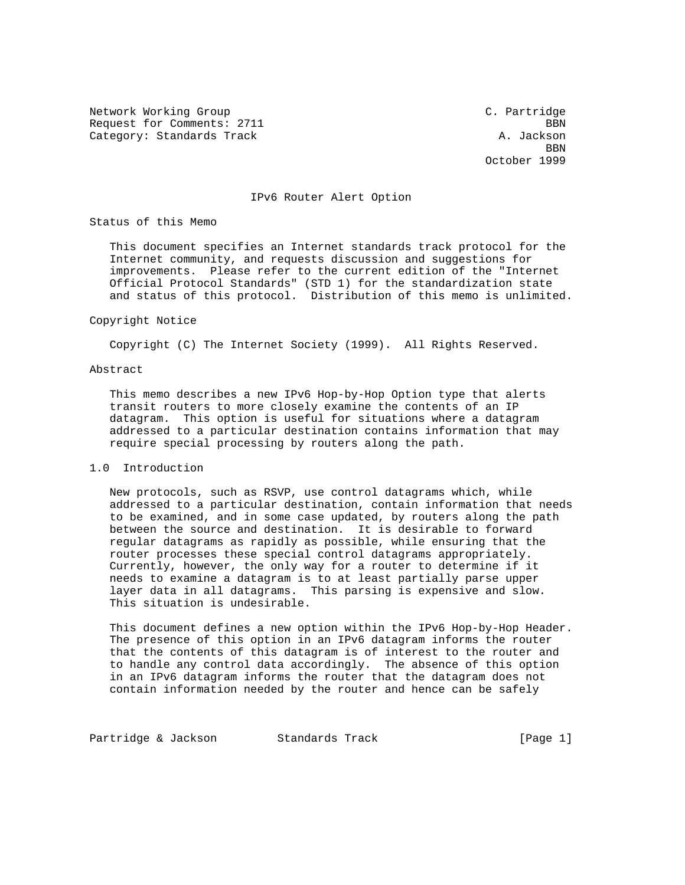Network Working Group C. Partridge Request for Comments: 2711 BBN Category: Standards Track A. Jackson

**BBN** October 1999

### IPv6 Router Alert Option

Status of this Memo

 This document specifies an Internet standards track protocol for the Internet community, and requests discussion and suggestions for improvements. Please refer to the current edition of the "Internet Official Protocol Standards" (STD 1) for the standardization state and status of this protocol. Distribution of this memo is unlimited.

### Copyright Notice

Copyright (C) The Internet Society (1999). All Rights Reserved.

### Abstract

 This memo describes a new IPv6 Hop-by-Hop Option type that alerts transit routers to more closely examine the contents of an IP datagram. This option is useful for situations where a datagram addressed to a particular destination contains information that may require special processing by routers along the path.

## 1.0 Introduction

 New protocols, such as RSVP, use control datagrams which, while addressed to a particular destination, contain information that needs to be examined, and in some case updated, by routers along the path between the source and destination. It is desirable to forward regular datagrams as rapidly as possible, while ensuring that the router processes these special control datagrams appropriately. Currently, however, the only way for a router to determine if it needs to examine a datagram is to at least partially parse upper layer data in all datagrams. This parsing is expensive and slow. This situation is undesirable.

 This document defines a new option within the IPv6 Hop-by-Hop Header. The presence of this option in an IPv6 datagram informs the router that the contents of this datagram is of interest to the router and to handle any control data accordingly. The absence of this option in an IPv6 datagram informs the router that the datagram does not contain information needed by the router and hence can be safely

Partridge & Jackson Standards Track [Page 1]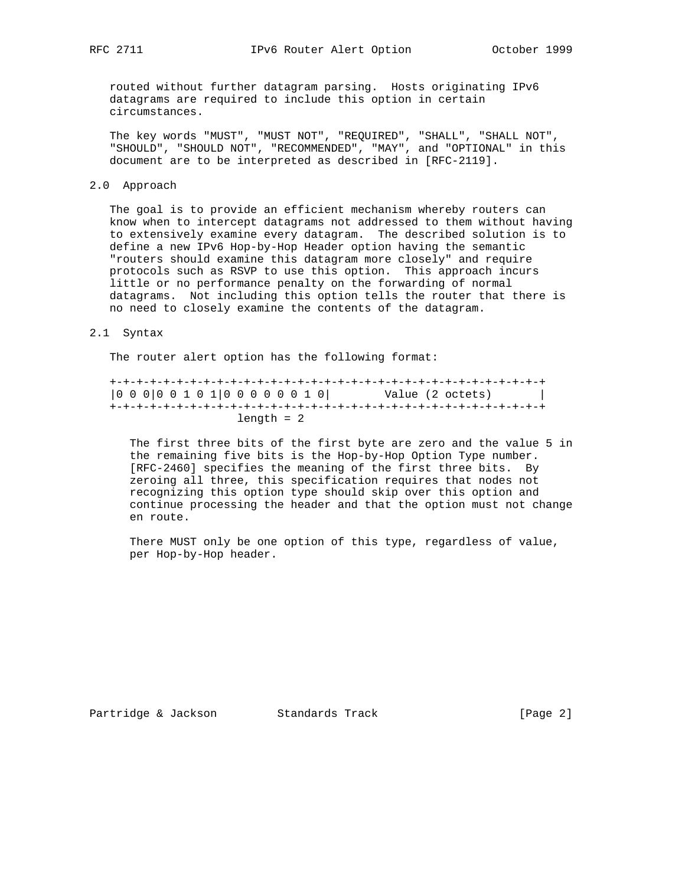routed without further datagram parsing. Hosts originating IPv6 datagrams are required to include this option in certain circumstances.

 The key words "MUST", "MUST NOT", "REQUIRED", "SHALL", "SHALL NOT", "SHOULD", "SHOULD NOT", "RECOMMENDED", "MAY", and "OPTIONAL" in this document are to be interpreted as described in [RFC-2119].

## 2.0 Approach

 The goal is to provide an efficient mechanism whereby routers can know when to intercept datagrams not addressed to them without having to extensively examine every datagram. The described solution is to define a new IPv6 Hop-by-Hop Header option having the semantic "routers should examine this datagram more closely" and require protocols such as RSVP to use this option. This approach incurs little or no performance penalty on the forwarding of normal datagrams. Not including this option tells the router that there is no need to closely examine the contents of the datagram.

### 2.1 Syntax

The router alert option has the following format:

 +-+-+-+-+-+-+-+-+-+-+-+-+-+-+-+-+-+-+-+-+-+-+-+-+-+-+-+-+-+-+-+-+ |0 0 0|0 0 1 0 1|0 0 0 0 0 0 1 0| Value (2 octets) | +-+-+-+-+-+-+-+-+-+-+-+-+-+-+-+-+-+-+-+-+-+-+-+-+-+-+-+-+-+-+-+-+ length = 2

 The first three bits of the first byte are zero and the value 5 in the remaining five bits is the Hop-by-Hop Option Type number. [RFC-2460] specifies the meaning of the first three bits. By zeroing all three, this specification requires that nodes not recognizing this option type should skip over this option and continue processing the header and that the option must not change en route.

 There MUST only be one option of this type, regardless of value, per Hop-by-Hop header.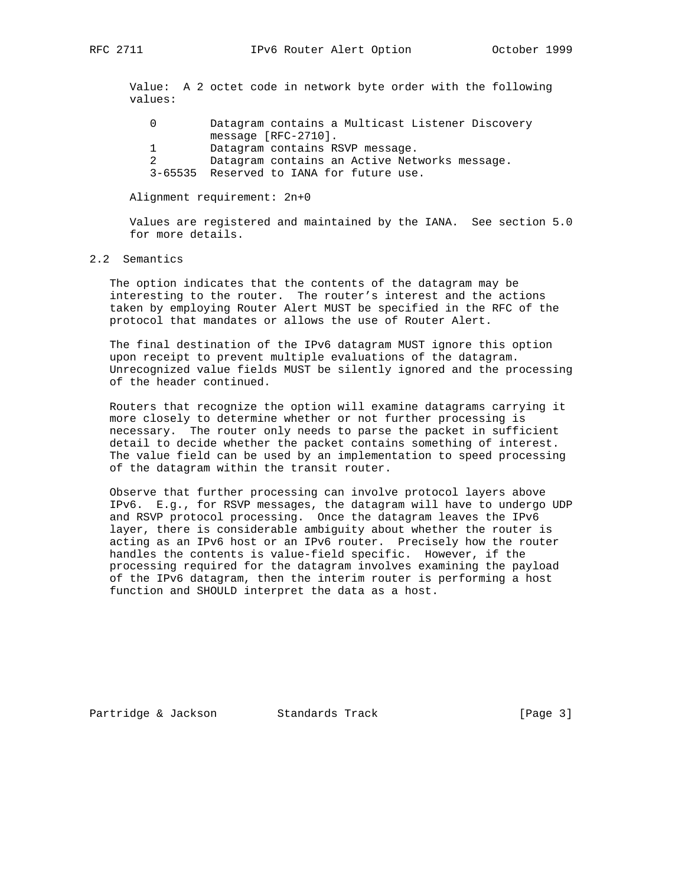Value: A 2 octet code in network byte order with the following values:

| Datagram contains a Multicast Listener Discovery |
|--------------------------------------------------|
| message $[RFC-2710]$ .                           |
| Datagram contains RSVP message.                  |
| Datagram contains an Active Networks message.    |
| 3-65535 Reserved to IANA for future use.         |

### Alignment requirement: 2n+0

 Values are registered and maintained by the IANA. See section 5.0 for more details.

### 2.2 Semantics

 The option indicates that the contents of the datagram may be interesting to the router. The router's interest and the actions taken by employing Router Alert MUST be specified in the RFC of the protocol that mandates or allows the use of Router Alert.

 The final destination of the IPv6 datagram MUST ignore this option upon receipt to prevent multiple evaluations of the datagram. Unrecognized value fields MUST be silently ignored and the processing of the header continued.

 Routers that recognize the option will examine datagrams carrying it more closely to determine whether or not further processing is necessary. The router only needs to parse the packet in sufficient detail to decide whether the packet contains something of interest. The value field can be used by an implementation to speed processing of the datagram within the transit router.

 Observe that further processing can involve protocol layers above IPv6. E.g., for RSVP messages, the datagram will have to undergo UDP and RSVP protocol processing. Once the datagram leaves the IPv6 layer, there is considerable ambiguity about whether the router is acting as an IPv6 host or an IPv6 router. Precisely how the router handles the contents is value-field specific. However, if the processing required for the datagram involves examining the payload of the IPv6 datagram, then the interim router is performing a host function and SHOULD interpret the data as a host.

Partridge & Jackson Standards Track [Page 3]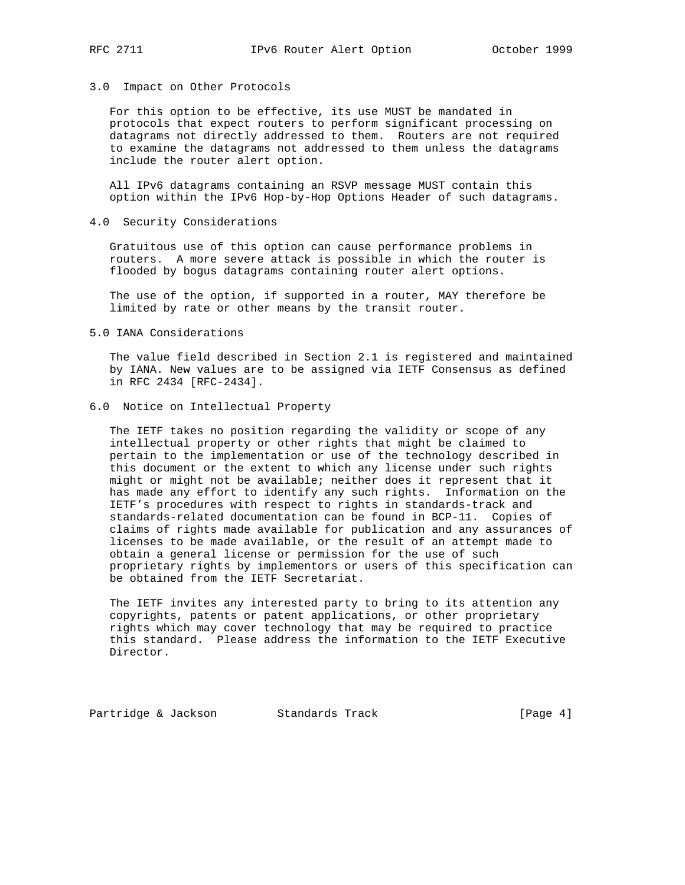### 3.0 Impact on Other Protocols

 For this option to be effective, its use MUST be mandated in protocols that expect routers to perform significant processing on datagrams not directly addressed to them. Routers are not required to examine the datagrams not addressed to them unless the datagrams include the router alert option.

 All IPv6 datagrams containing an RSVP message MUST contain this option within the IPv6 Hop-by-Hop Options Header of such datagrams.

### 4.0 Security Considerations

 Gratuitous use of this option can cause performance problems in routers. A more severe attack is possible in which the router is flooded by bogus datagrams containing router alert options.

 The use of the option, if supported in a router, MAY therefore be limited by rate or other means by the transit router.

### 5.0 IANA Considerations

 The value field described in Section 2.1 is registered and maintained by IANA. New values are to be assigned via IETF Consensus as defined in RFC 2434 [RFC-2434].

6.0 Notice on Intellectual Property

 The IETF takes no position regarding the validity or scope of any intellectual property or other rights that might be claimed to pertain to the implementation or use of the technology described in this document or the extent to which any license under such rights might or might not be available; neither does it represent that it has made any effort to identify any such rights. Information on the IETF's procedures with respect to rights in standards-track and standards-related documentation can be found in BCP-11. Copies of claims of rights made available for publication and any assurances of licenses to be made available, or the result of an attempt made to obtain a general license or permission for the use of such proprietary rights by implementors or users of this specification can be obtained from the IETF Secretariat.

 The IETF invites any interested party to bring to its attention any copyrights, patents or patent applications, or other proprietary rights which may cover technology that may be required to practice this standard. Please address the information to the IETF Executive Director.

Partridge & Jackson Standards Track [Page 4]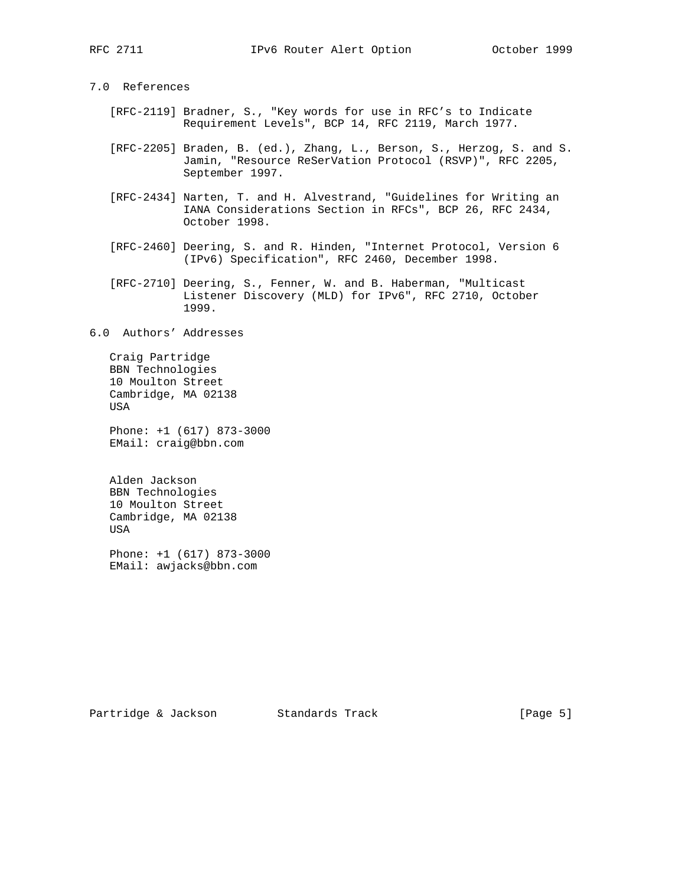# 7.0 References

- [RFC-2119] Bradner, S., "Key words for use in RFC's to Indicate Requirement Levels", BCP 14, RFC 2119, March 1977.
- [RFC-2205] Braden, B. (ed.), Zhang, L., Berson, S., Herzog, S. and S. Jamin, "Resource ReSerVation Protocol (RSVP)", RFC 2205, September 1997.
- [RFC-2434] Narten, T. and H. Alvestrand, "Guidelines for Writing an IANA Considerations Section in RFCs", BCP 26, RFC 2434, October 1998.
- [RFC-2460] Deering, S. and R. Hinden, "Internet Protocol, Version 6 (IPv6) Specification", RFC 2460, December 1998.
- [RFC-2710] Deering, S., Fenner, W. and B. Haberman, "Multicast Listener Discovery (MLD) for IPv6", RFC 2710, October 1999.

6.0 Authors' Addresses

 Craig Partridge BBN Technologies 10 Moulton Street Cambridge, MA 02138 USA

 Phone: +1 (617) 873-3000 EMail: craig@bbn.com

 Alden Jackson BBN Technologies 10 Moulton Street Cambridge, MA 02138 USA

 Phone: +1 (617) 873-3000 EMail: awjacks@bbn.com